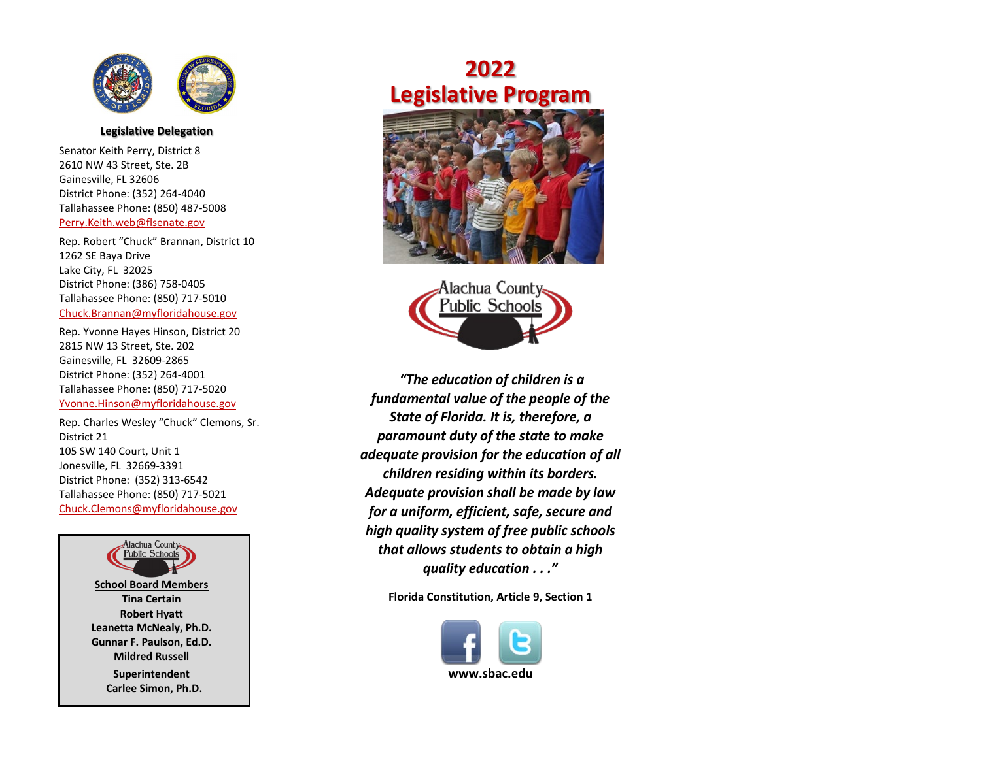

## **Legislative Delegation**

Senator Keith Perry, District 8 2610 NW 43 Street, Ste. 2B Gainesville, FL 32606 District Phone: (352) 264-4040 Tallahassee Phone: (850) 487-5008 [Perry.Keith.web@flsenate.gov](about:blank)

Rep. Robert "Chuck" Brannan, District 10 1262 SE Baya Drive Lake City, FL 32025 District Phone: (386) 758-0405 Tallahassee Phone: (850) 717-5010 [Chuck.Brannan@myfloridahouse.gov](about:blank)

Rep. Yvonne Hayes Hinson, District 20 2815 NW 13 Street, Ste. 202 Gainesville, FL 32609-2865 District Phone: (352) 264-4001 Tallahassee Phone: (850) 717-5020 [Yvonne.Hinson@myfloridahouse.gov](about:blank)

Rep. Charles Wesley "Chuck" Clemons, Sr. District 21 105 SW 140 Court, Unit 1 Jonesville, FL 32669-3391 District Phone: (352) 313-6542 Tallahassee Phone: (850) 717-5021 [Chuck.Clemons@myfloridahouse.gov](about:blank)



## **2022 Legislative Program**





*"The education of children is a fundamental value of the people of the State of Florida. It is, therefore, a paramount duty of the state to make adequate provision for the education of all children residing within its borders. Adequate provision shall be made by law for a uniform, efficient, safe, secure and high quality system of free public schools that allows students to obtain a high quality education . . ."*

**Florida Constitution, Article 9, Section 1**